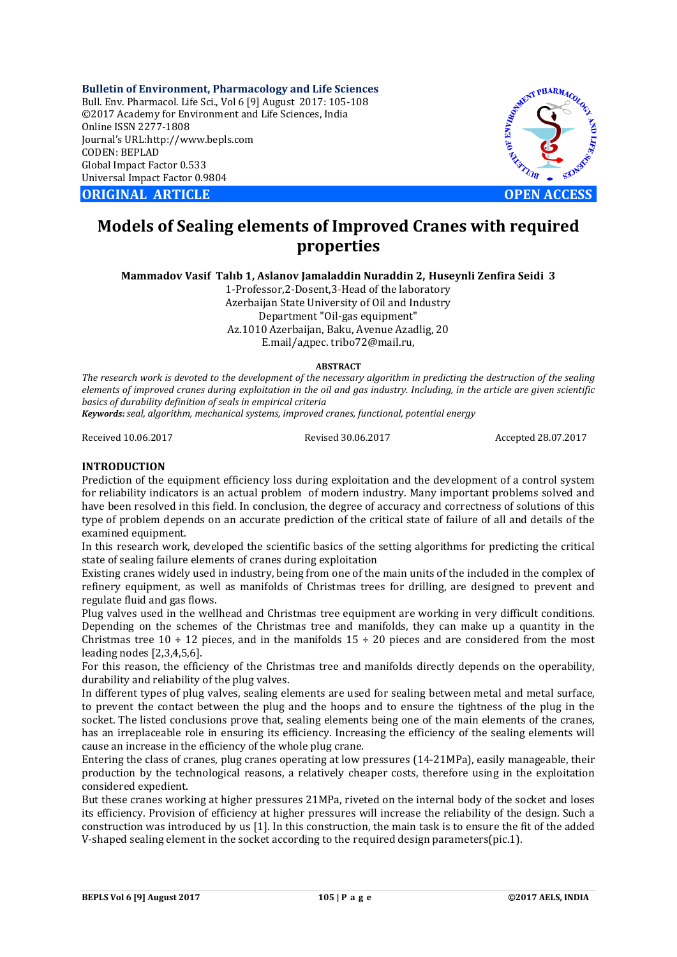**Bulletin of Environment, Pharmacology and Life Sciences** Bull. Env. Pharmacol. Life Sci., Vol 6 [9] August 2017: 105-108 ©2017 Academy for Environment and Life Sciences, India Online ISSN 2277-1808 Journal's URL:http://www.bepls.com CODEN: BEPLAD Global Impact Factor 0.533 Universal Impact Factor 0.9804

**ORIGINAL ARTICLE OPEN ACCESS**



# **Models of Sealing elements of Improved Cranes with required properties**

**Mammadov Vasif Talıb 1, Aslanov Jamaladdin Nuraddin 2, Huseynli Zenfira Seidi 3**

1-Professor,2-Dosent,3-Head of the laboratory Azerbaijan State University of Oil and Industry Department "Oil-gas equipment" Az.1010 Azerbaijan, Baku, Avenue Azadlig, 20 E.mail/адрес. tribo72@mail.ru,

#### **ABSTRACT**

*The research work is devoted to the development of the necessary algorithm in predicting the destruction of the sealing elements of improved cranes during exploitation in the oil and gas industry. Including, in the article are given scientific basics of durability definition of seals in empirical criteria* 

*Keywords:seal, algorithm, mechanical systems, improved cranes, functional, potential energy*

Received 10.06.2017 Revised 30.06.2017 Accepted 28.07.2017

## **INTRODUCTION**

Prediction of the equipment efficiency loss during exploitation and the development of a control system for reliability indicators is an actual problem of modern industry. Many important problems solved and have been resolved in this field. In conclusion, the degree of accuracy and correctness of solutions of this type of problem depends on an accurate prediction of the critical state of failure of all and details of the examined equipment.

In this research work, developed the scientific basics of the setting algorithms for predicting the critical state of sealing failure elements of cranes during exploitation

Existing cranes widely used in industry, being from one of the main units of the included in the complex of refinery equipment, as well as manifolds of Christmas trees for drilling, are designed to prevent and regulate fluid and gas flows.

Plug valves used in the wellhead and Christmas tree equipment are working in very difficult conditions. Depending on the schemes of the Christmas tree and manifolds, they can make up a quantity in the Christmas tree  $10 \div 12$  pieces, and in the manifolds  $15 \div 20$  pieces and are considered from the most leading nodes [2,3,4,5,6].

For this reason, the efficiency of the Christmas tree and manifolds directly depends on the operability, durability and reliability of the plug valves.

In different types of plug valves, sealing elements are used for sealing between metal and metal surface, to prevent the contact between the plug and the hoops and to ensure the tightness of the plug in the socket. The listed conclusions prove that, sealing elements being one of the main elements of the cranes, has an irreplaceable role in ensuring its efficiency. Increasing the efficiency of the sealing elements will cause an increase in the efficiency of the whole plug crane.

Entering the class of cranes, plug cranes operating at low pressures (14-21MPa), easily manageable, their production by the technological reasons, a relatively cheaper costs, therefore using in the exploitation considered expedient.

But these cranes working at higher pressures 21MPa, riveted on the internal body of the socket and loses its efficiency. Provision of efficiency at higher pressures will increase the reliability of the design. Such a construction was introduced by us [1]. In this construction, the main task is to ensure the fit of the added V-shaped sealing element in the socket according to the required design parameters(pic.1).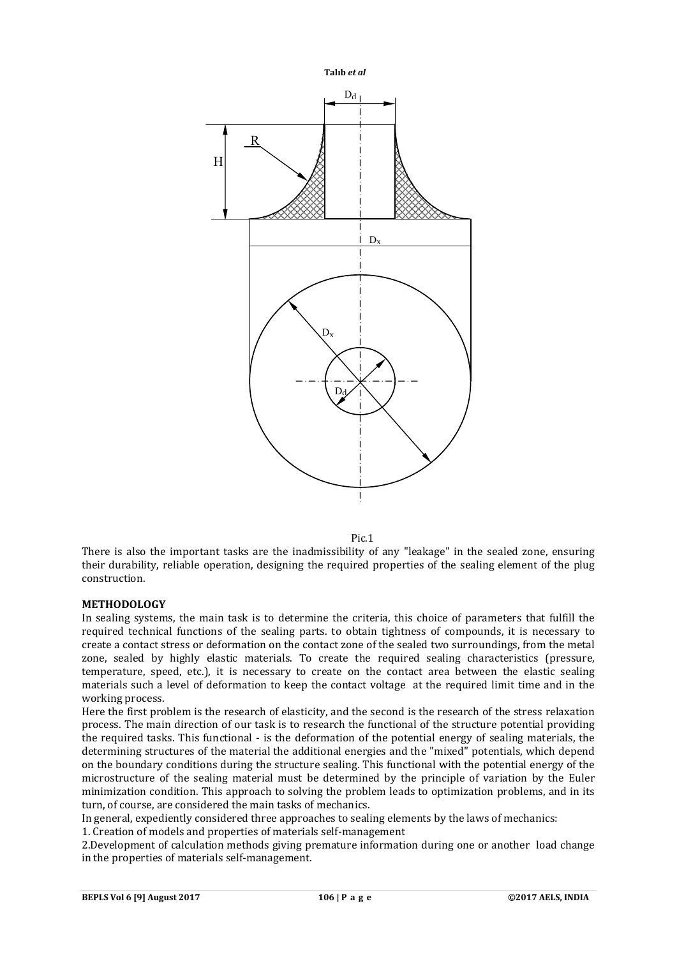

Pic.1

There is also the important tasks are the inadmissibility of any "leakage" in the sealed zone, ensuring their durability, reliable operation, designing the required properties of the sealing element of the plug construction.

### **METHODOLOGY**

In sealing systems, the main task is to determine the criteria, this choice of parameters that fulfill the required technical functions of the sealing parts. to obtain tightness of compounds, it is necessary to create a contact stress or deformation on the contact zone of the sealed two surroundings, from the metal zone, sealed by highly elastic materials. To create the required sealing characteristics (pressure, temperature, speed, etc.), it is necessary to create on the contact area between the elastic sealing materials such a level of deformation to keep the contact voltage at the required limit time and in the working process.

Here the first problem is the research of elasticity, and the second is the research of the stress relaxation process. The main direction of our task is to research the functional of the structure potential providing the required tasks. This functional - is the deformation of the potential energy of sealing materials, the determining structures of the material the additional energies and the "mixed" potentials, which depend on the boundary conditions during the structure sealing. This functional with the potential energy of the microstructure of the sealing material must be determined by the principle of variation by the Euler minimization condition. This approach to solving the problem leads to optimization problems, and in its turn, of course, are considered the main tasks of mechanics.

In general, expediently considered three approaches to sealing elements by the laws of mechanics:

1. Creation of models and properties of materials self-management

2.Development of calculation methods giving premature information during one or another load change in the properties of materials self-management.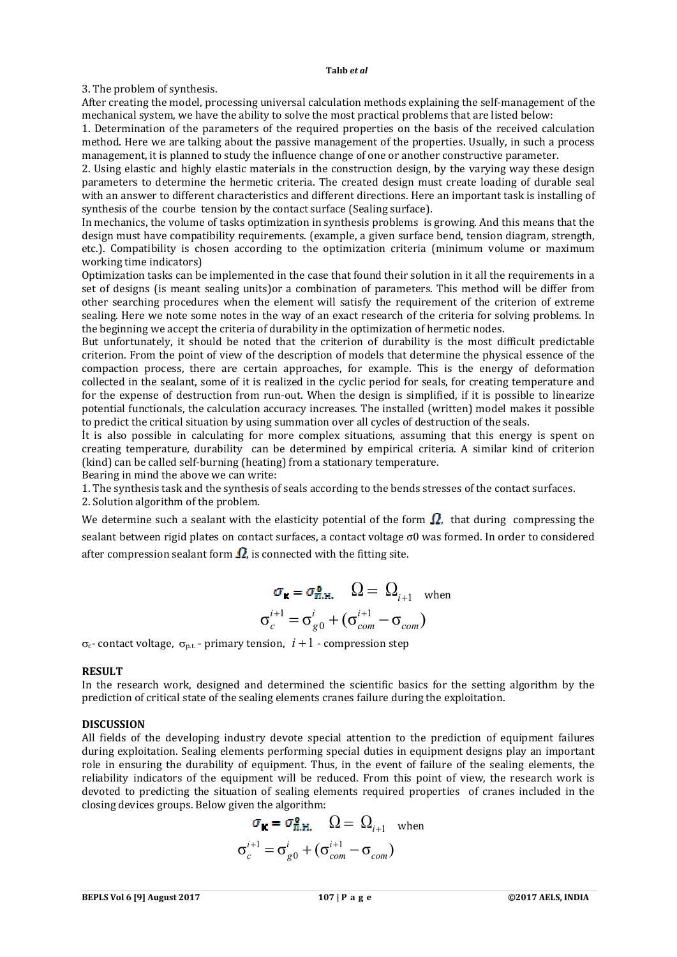#### **Talıb** *et al*

3. The problem of synthesis.

After creating the model, processing universal calculation methods explaining the self-management of the mechanical system, we have the ability to solve the most practical problems that are listed below:

1. Determination of the parameters of the required properties on the basis of the received calculation method. Here we are talking about the passive management of the properties. Usually, in such a process management, it is planned to study the influence change of one or another constructive parameter.

2. Using elastic and highly elastic materials in the construction design, by the varying way these design parameters to determine the hermetic criteria. The created design must create loading of durable seal with an answer to different characteristics and different directions. Here an important task is installing of synthesis of the courbe tension by the contact surface (Sealing surface).

In mechanics, the volume of tasks optimization in synthesis problems is growing. And this means that the design must have compatibility requirements. (example, a given surface bend, tension diagram, strength, etc.). Compatibility is chosen according to the optimization criteria (minimum volume or maximum working time indicators)

Optimization tasks can be implemented in the case that found their solution in it all the requirements in a set of designs (is meant sealing units)or a combination of parameters. This method will be differ from other searching procedures when the element will satisfy the requirement of the criterion of extreme sealing. Here we note some notes in the way of an exact research of the criteria for solving problems. In the beginning we accept the criteria of durability in the optimization of hermetic nodes.

But unfortunately, it should be noted that the criterion of durability is the most difficult predictable criterion. From the point of view of the description of models that determine the physical essence of the compaction process, there are certain approaches, for example. This is the energy of deformation collected in the sealant, some of it is realized in the cyclic period for seals, for creating temperature and for the expense of destruction from run-out. When the design is simplified, if it is possible to linearize potential functionals, the calculation accuracy increases. The installed (written) model makes it possible to predict the critical situation by using summation over all cycles of destruction of the seals.

İt is also possible in calculating for more complex situations, assuming that this energy is spent on creating temperature, durability can be determined by empirical criteria. A similar kind of criterion (kind) can be called self-burning (heating) from a stationary temperature.

Bearing in mind the above we can write:

1. The synthesis task and the synthesis of seals according to the bends stresses of the contact surfaces.

2. Solution algorithm of the problem.

We determine such a sealant with the elasticity potential of the form  $\Omega$ , that during compressing the sealant between rigid plates on contact surfaces, a contact voltage σ0 was formed. In order to considered after compression sealant form  $\Omega$ , is connected with the fitting site.

$$
\sigma_{\mathbf{K}} = \sigma_{\Pi, H.}^{\mathbf{0}} \qquad \Omega = \Omega_{i+1} \quad \text{when}
$$

$$
\sigma_c^{i+1} = \sigma_{g0}^i + (\sigma_{com}^{i+1} - \sigma_{com})
$$

 $\sigma_c$ - contact voltage,  $\sigma_{p,t}$  - primary tension,  $i+1$  - compression step

#### **RESULT**

In the research work, designed and determined the scientific basics for the setting algorithm by the prediction of critical state of the sealing elements cranes failure during the exploitation.

#### **DISCUSSION**

All fields of the developing industry devote special attention to the prediction of equipment failures during exploitation. Sealing elements performing special duties in equipment designs play an important role in ensuring the durability of equipment. Thus, in the event of failure of the sealing elements, the reliability indicators of the equipment will be reduced. From this point of view, the research work is devoted to predicting the situation of sealing elements required properties of cranes included in the closing devices groups. Below given the algorithm:

$$
\sigma_{\mathbf{K}} = \sigma_{\Pi, \mathbf{H}}^{\mathbf{0}} \Omega = \Omega_{i+1} \text{ when}
$$

$$
\sigma_c^{i+1} = \sigma_{g0}^i + (\sigma_{com}^{i+1} - \sigma_{com})
$$